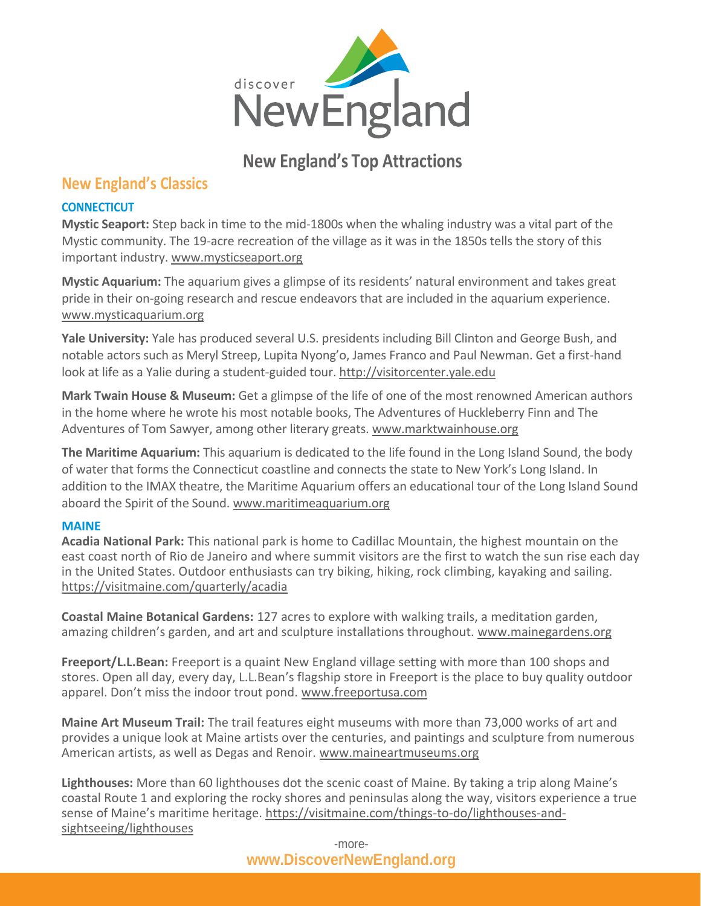

# **New England's Top Attractions**

## **New England's Classics**

## **CONNECTICUT**

**Mystic Seaport:** Step back in time to the mid-1800s when the whaling industry was a vital part of the Mystic community. The 19-acre recreation of the village as it was in the 1850s tells the story of this important industry[. www.mysticseaport.org](http://www.mysticseaport.org/)

**Mystic Aquarium:** The aquarium gives a glimpse of its residents' natural environment and takes great pride in their on-going research and rescue endeavors that are included in the aquarium experience. [www.mysticaquarium.org](http://www.mysticaquarium.org/)

**Yale University:** Yale has produced several U.S. presidents including Bill Clinton and George Bush, and notable actors such as Meryl Streep, Lupita Nyong'o, James Franco and Paul Newman. Get a first-hand look at life as a Yalie during a student-guided tour. [http://visitorcenter.yale.edu](http://visitorcenter.yale.edu/)

**Mark Twain House & Museum:** Get a glimpse of the life of one of the most renowned American authors in the home where he wrote his most notable books, The Adventures of Huckleberry Finn and The Adventures of Tom Sawyer, among other literary greats. [www.marktwainhouse.org](http://www.marktwainhouse.org/)

**The Maritime Aquarium:** This aquarium is dedicated to the life found in the Long Island Sound, the body of water that forms the Connecticut coastline and connects the state to New York's Long Island. In addition to the IMAX theatre, the Maritime Aquarium offers an educational tour of the Long Island Sound aboard the Spirit of the Sound[. www.maritimeaquarium.org](http://www.maritimeaquarium.org/)

### **MAINE**

**Acadia National Park:** This national park is home to Cadillac Mountain, the highest mountain on the east coast north of Rio de Janeiro and where summit visitors are the first to watch the sun rise each day in the United States. Outdoor enthusiasts can try biking, hiking, rock climbing, kayaking and sailing. <https://visitmaine.com/quarterly/acadia>

**Coastal Maine Botanical Gardens:** 127 acres to explore with walking trails, a meditation garden, amazing children's garden, and art and sculpture installations throughout. [www.mainegardens.org](http://www.mainegardens.org/)

**Freeport/L.L.Bean:** Freeport is a quaint New England village setting with more than 100 shops and stores. Open all day, every day, L.L.Bean's flagship store in Freeport is the place to buy quality outdoor apparel. Don't miss the indoor trout pond. [www.freeportusa.com](http://www.freeportusa.com/)

**Maine Art Museum Trail:** The trail features eight museums with more than 73,000 works of art and provides a unique look at Maine artists over the centuries, and paintings and sculpture from numerous American artists, as well as Degas and Renoir. [www.maineartmuseums.org](http://www.maineartmuseums.org/)

**Lighthouses:** More than 60 lighthouses dot the scenic coast of Maine. By taking a trip along Maine's coastal Route 1 and exploring the rocky shores and peninsulas along the way, visitors experience a true sense of Maine's maritime heritage. [https://visitmaine.com/things-to-do/lighthouses-and](https://visitmaine.com/things-to-do/lighthouses-and-sightseeing/lighthouses)[sightseeing/lighthouses](https://visitmaine.com/things-to-do/lighthouses-and-sightseeing/lighthouses)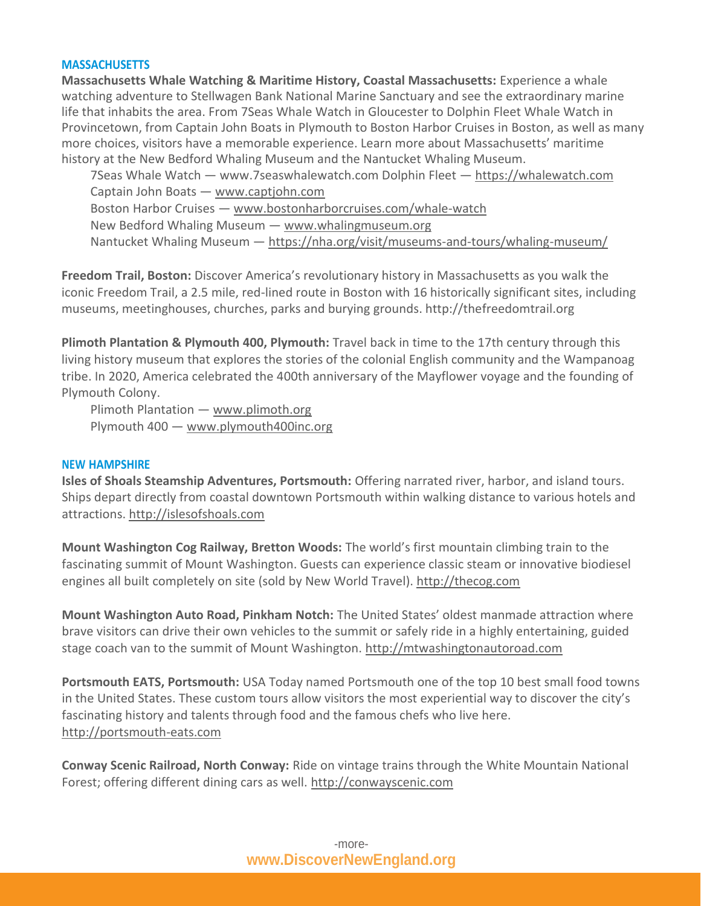### **MASSACHUSETTS**

**Massachusetts Whale Watching & Maritime History, Coastal Massachusetts:** Experience a whale watching adventure to Stellwagen Bank National Marine Sanctuary and see the extraordinary marine life that inhabits the area. From 7Seas Whale Watch in Gloucester to Dolphin Fleet Whale Watch in Provincetown, from Captain John Boats in Plymouth to Boston Harbor Cruises in Boston, as well as many more choices, visitors have a memorable experience. Learn more about Massachusetts' maritime history at the New Bedford Whaling Museum and the Nantucket Whaling Museum.

7Seas Whale Watch — www.7seaswhalewatch.com Dolphin Fleet — [https://whalewatch.com](https://whalewatch.com/) Captain John Boats — [www.captjohn.com](http://www.captjohn.com/) Boston Harbor Cruises — [www.bostonharborcruises.com/whale-watch](http://www.bostonharborcruises.com/whale-watch) New Bedford Whaling Museum — [www.whalingmuseum.org](http://www.whalingmuseum.org/) Nantucket Whaling Museum — <https://nha.org/visit/museums-and-tours/whaling-museum/>

**Freedom Trail, Boston:** Discover America's revolutionary history in Massachusetts as you walk the iconic Freedom Trail, a 2.5 mile, red-lined route in Boston with 16 historically significant sites, including museums, meetinghouses, churches, parks and burying grounds. http://thefreedomtrail.org

**Plimoth Plantation & Plymouth 400, Plymouth:** Travel back in time to the 17th century through this living history museum that explores the stories of the colonial English community and the Wampanoag tribe. In 2020, America celebrated the 400th anniversary of the Mayflower voyage and the founding of Plymouth Colony.

Plimoth Plantation — [www.plimoth.org](http://www.plimoth.org/) Plymouth 400 — [www.plymouth400inc.org](http://www.plymouth400inc.org/)

#### **NEW HAMPSHIRE**

**Isles of Shoals Steamship Adventures, Portsmouth:** Offering narrated river, harbor, and island tours. Ships depart directly from coastal downtown Portsmouth within walking distance to various hotels and attractions[. http://islesofshoals.com](http://islesofshoals.com/)

**Mount Washington Cog Railway, Bretton Woods:** The world's first mountain climbing train to the fascinating summit of Mount Washington. Guests can experience classic steam or innovative biodiesel engines all built completely on site (sold by New World Travel)[. http://thecog.com](http://thecog.com/)

**Mount Washington Auto Road, Pinkham Notch:** The United States' oldest manmade attraction where brave visitors can drive their own vehicles to the summit or safely ride in a highly entertaining, guided stage coach van to the summit of Mount Washington. [http://mtwashingtonautoroad.com](http://mtwashingtonautoroad.com/)

**Portsmouth EATS, Portsmouth:** USA Today named Portsmouth one of the top 10 best small food towns in the United States. These custom tours allow visitors the most experiential way to discover the city's fascinating history and talents through food and the famous chefs who live here. [http://portsmouth-eats.com](http://portsmouth-eats.com/)

**Conway Scenic Railroad, North Conway:** Ride on vintage trains through the White Mountain National Forest; offering different dining cars as well. [http://conwayscenic.com](http://conwayscenic.com/)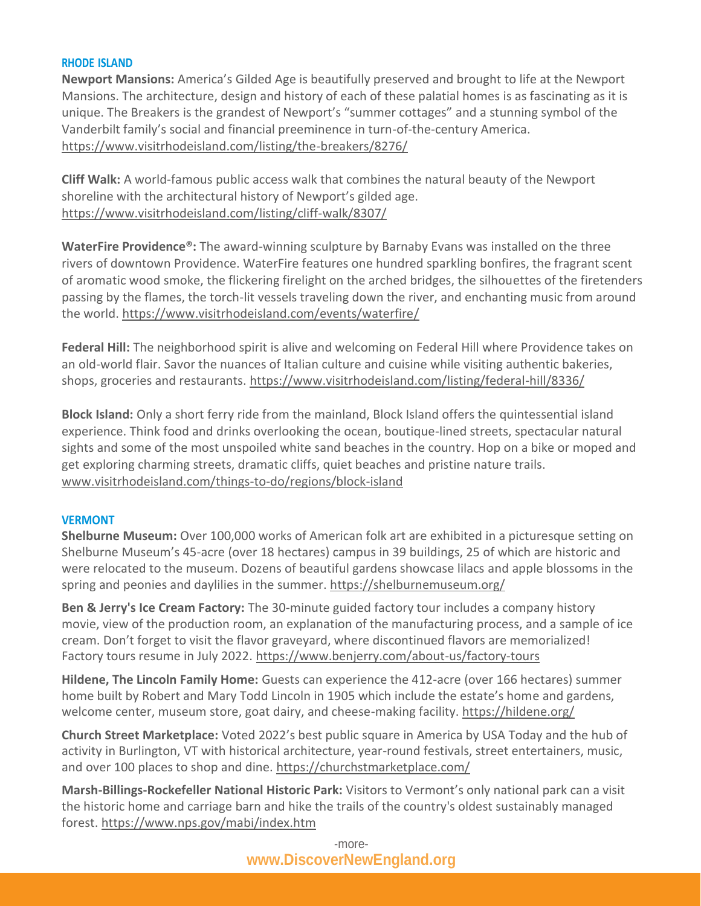### **RHODE ISLAND**

**Newport Mansions:** America's Gilded Age is beautifully preserved and brought to life at the Newport Mansions. The architecture, design and history of each of these palatial homes is as fascinating as it is unique. The Breakers is the grandest of Newport's "summer cottages" and a stunning symbol of the Vanderbilt family's social and financial preeminence in turn-of-the-century America. <https://www.visitrhodeisland.com/listing/the-breakers/8276/>

**Cliff Walk:** A world-famous public access walk that combines the natural beauty of the Newport shoreline with the architectural history of Newport's gilded age. <https://www.visitrhodeisland.com/listing/cliff-walk/8307/>

**WaterFire Providence®:** The award-winning sculpture by Barnaby Evans was installed on the three rivers of downtown Providence. WaterFire features one hundred sparkling bonfires, the fragrant scent of aromatic wood smoke, the flickering firelight on the arched bridges, the silhouettes of the firetenders passing by the flames, the torch-lit vessels traveling down the river, and enchanting music from around the world.<https://www.visitrhodeisland.com/events/waterfire/>

**Federal Hill:** The neighborhood spirit is alive and welcoming on Federal Hill where Providence takes on an old-world flair. Savor the nuances of Italian culture and cuisine while visiting authentic bakeries, shops, groceries and restaurants.<https://www.visitrhodeisland.com/listing/federal-hill/8336/>

**Block Island:** Only a short ferry ride from the mainland, Block Island offers the quintessential island experience. Think food and drinks overlooking the ocean, boutique-lined streets, spectacular natural sights and some of the most unspoiled white sand beaches in the country. Hop on a bike or moped and get exploring charming streets, dramatic cliffs, quiet beaches and pristine nature trails. [www.visitrhodeisland.com/things-to-do/regions/block-island](http://www.visitrhodeisland.com/things-to-do/regions/block-island)

### **VERMONT**

**Shelburne Museum:** Over 100,000 works of American folk art are exhibited in a picturesque setting on Shelburne Museum's 45-acre (over 18 hectares) campus in 39 buildings, 25 of which are historic and were relocated to the museum. Dozens of beautiful gardens showcase lilacs and apple blossoms in the spring and peonies and daylilies in the summer. https://shelburnemuseum.org/

**Ben & Jerry's Ice Cream Factory:** The 30-minute guided factory tour includes a company history movie, view of the production room, an explanation of the manufacturing process, and a sample of ice cream. Don't forget to visit the flavor graveyard, where discontinued flavors are memorialized! Factory tours resume in July 2022. https://www.benjerry.com/about-us/factory-tours

**Hildene, The Lincoln Family Home:** Guests can experience the 412-acre (over 166 hectares) summer home built by Robert and Mary Todd Lincoln in 1905 which include the estate's home and gardens, welcome center, museum store, goat dairy, and cheese-making facility[. https://hildene.org/](https://hildene.org/) 

**Church Street Marketplace:** Voted 2022's best public square in America by USA Today and the hub of activity in Burlington, VT with historical architecture, year-round festivals, street entertainers, music, and over 100 places to shop and dine. https://churchstmarketplace.com/

**Marsh-Billings-Rockefeller National Historic Park:** Visitors to Vermont's only national park can a visit the historic home and carriage barn and hike the trails of the country's oldest sustainably managed forest.<https://www.nps.gov/mabi/index.htm>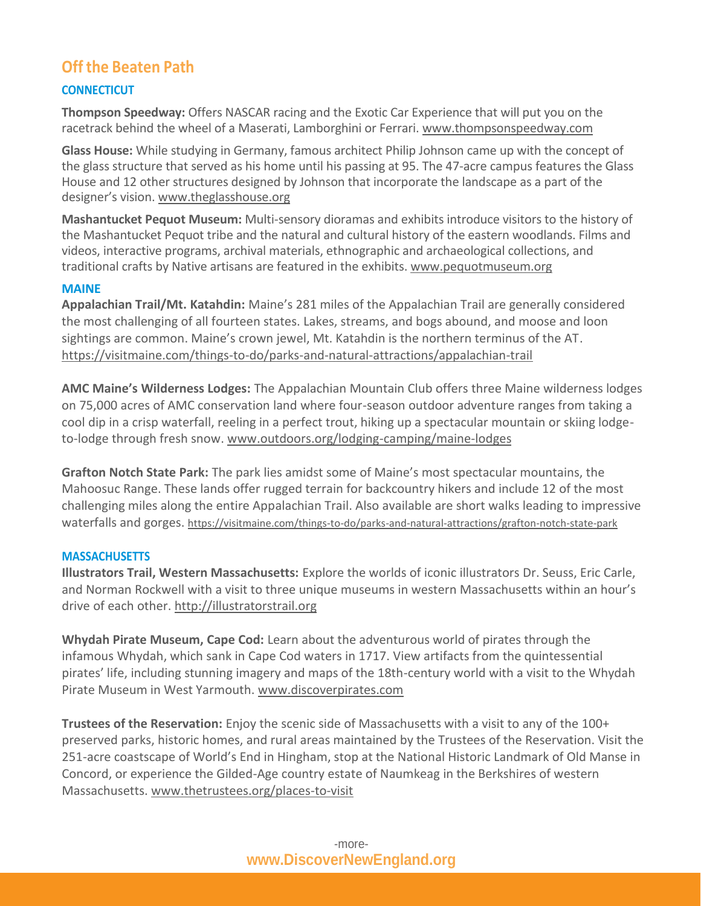## **Off the Beaten Path**

### **CONNECTICUT**

**Thompson Speedway:** Offers NASCAR racing and the Exotic Car Experience that will put you on the racetrack behind the wheel of a Maserati, Lamborghini or Ferrari. [www.thompsonspeedway.com](http://www.thompsonspeedway.com/)

**Glass House:** While studying in Germany, famous architect Philip Johnson came up with the concept of the glass structure that served as his home until his passing at 95. The 47-acre campus features the Glass House and 12 other structures designed by Johnson that incorporate the landscape as a part of the designer's vision. [www.theglasshouse.org](http://www.theglasshouse.org/)

**Mashantucket Pequot Museum:** Multi-sensory dioramas and exhibits introduce visitors to the history of the Mashantucket Pequot tribe and the natural and cultural history of the eastern woodlands. Films and videos, interactive programs, archival materials, ethnographic and archaeological collections, and traditional crafts by Native artisans are featured in the exhibits[. www.pequotmuseum.org](http://www.pequotmuseum.org/)

### **MAINE**

**Appalachian Trail/Mt. Katahdin:** Maine's 281 miles of the Appalachian Trail are generally considered the most challenging of all fourteen states. Lakes, streams, and bogs abound, and moose and loon sightings are common. Maine's crown jewel, Mt. Katahdin is the northern terminus of the AT. <https://visitmaine.com/things-to-do/parks-and-natural-attractions/appalachian-trail>

**AMC Maine's Wilderness Lodges:** The Appalachian Mountain Club offers three Maine wilderness lodges on 75,000 acres of AMC conservation land where four-season outdoor adventure ranges from taking a cool dip in a crisp waterfall, reeling in a perfect trout, hiking up a spectacular mountain or skiing lodgeto-lodge through fresh snow. [www.outdoors.org/lodging-camping/maine-lodges](http://www.outdoors.org/lodging-camping/maine-lodges)

**Grafton Notch State Park:** The park lies amidst some of Maine's most spectacular mountains, the Mahoosuc Range. These lands offer rugged terrain for backcountry hikers and include 12 of the most challenging miles along the entire Appalachian Trail. Also available are short walks leading to impressive waterfalls and gorges. <https://visitmaine.com/things-to-do/parks-and-natural-attractions/grafton-notch-state-park>

### **MASSACHUSETTS**

**Illustrators Trail, Western Massachusetts:** Explore the worlds of iconic illustrators Dr. Seuss, Eric Carle, and Norman Rockwell with a visit to three unique museums in western Massachusetts within an hour's drive of each other. [http://illustratorstrail.org](http://illustratorstrail.org/)

**Whydah Pirate Museum, Cape Cod:** Learn about the adventurous world of pirates through the infamous Whydah, which sank in Cape Cod waters in 1717. View artifacts from the quintessential pirates' life, including stunning imagery and maps of the 18th-century world with a visit to the Whydah Pirate Museum in West Yarmouth. [www.discoverpirates.com](http://www.discoverpirates.com/)

**Trustees of the Reservation:** Enjoy the scenic side of Massachusetts with a visit to any of the 100+ preserved parks, historic homes, and rural areas maintained by the Trustees of the Reservation. Visit the 251-acre coastscape of World's End in Hingham, stop at the National Historic Landmark of Old Manse in Concord, or experience the Gilded-Age country estate of Naumkeag in the Berkshires of western Massachusetts. [www.thetrustees.org/places-to-visit](http://www.thetrustees.org/places-to-visit)